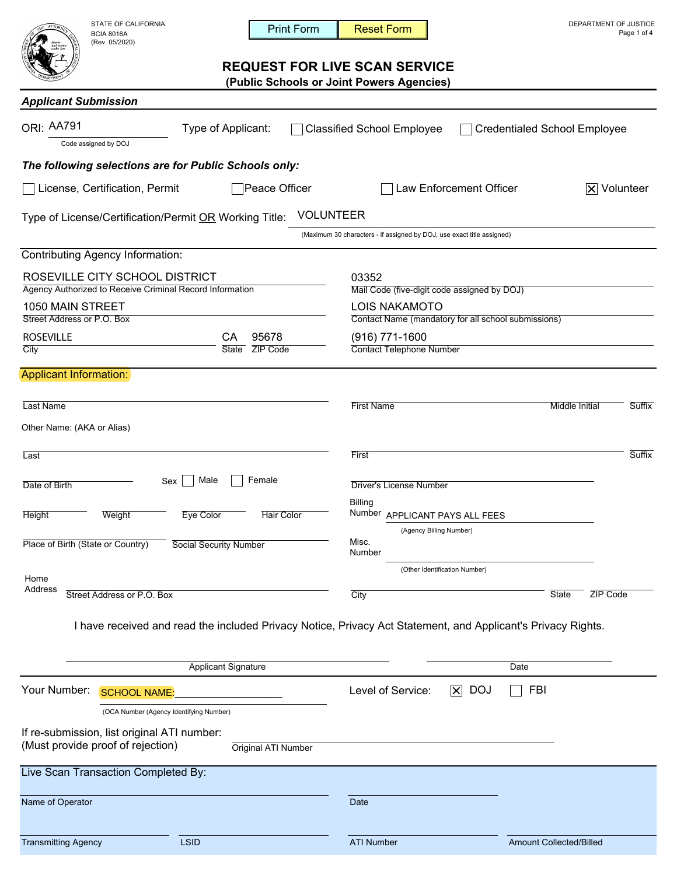| STATE OF CALIFORNI |
|--------------------|
| <b>BCIA 8016A</b>  |
| (Rev. 05/2020)     |

IA DEPARTMENT OF JUSTICE

# **REQUEST FOR LIVE SCAN SERVICE**

| חוורוט וואס וט בו חוט<br>ATTOR <sub>N</sub><br><b>BCIA 8016A</b><br>(Rev. 05/2020)         | <b>Print Form</b>                                                                                            | <b>Reset Form</b>                                                                          | PLFANIMLNI VI JUJIIVL<br>Page 1 of 4   |  |
|--------------------------------------------------------------------------------------------|--------------------------------------------------------------------------------------------------------------|--------------------------------------------------------------------------------------------|----------------------------------------|--|
|                                                                                            |                                                                                                              | <b>REQUEST FOR LIVE SCAN SERVICE</b><br>(Public Schools or Joint Powers Agencies)          |                                        |  |
| <b>Applicant Submission</b>                                                                |                                                                                                              |                                                                                            |                                        |  |
| <b>ORI: AA791</b><br>Code assigned by DOJ                                                  | Type of Applicant:                                                                                           | <b>Classified School Employee</b>                                                          | <b>Credentialed School Employee</b>    |  |
| The following selections are for Public Schools only:                                      |                                                                                                              |                                                                                            |                                        |  |
| License, Certification, Permit                                                             | Peace Officer                                                                                                | Law Enforcement Officer                                                                    | $ \mathsf{X} $ Volunteer               |  |
| Type of License/Certification/Permit OR Working Title:                                     |                                                                                                              | <b>VOLUNTEER</b><br>(Maximum 30 characters - if assigned by DOJ, use exact title assigned) |                                        |  |
| <b>Contributing Agency Information:</b>                                                    |                                                                                                              |                                                                                            |                                        |  |
| ROSEVILLE CITY SCHOOL DISTRICT<br>Agency Authorized to Receive Criminal Record Information |                                                                                                              | 03352<br>Mail Code (five-digit code assigned by DOJ)                                       |                                        |  |
| 1050 MAIN STREET<br>Street Address or P.O. Box                                             |                                                                                                              | <b>LOIS NAKAMOTO</b><br>Contact Name (mandatory for all school submissions)                |                                        |  |
| <b>ROSEVILLE</b>                                                                           | 95678<br>CА                                                                                                  | (916) 771-1600                                                                             |                                        |  |
| City                                                                                       | ZIP Code<br>State                                                                                            | <b>Contact Telephone Number</b>                                                            |                                        |  |
| <b>Applicant Information:</b>                                                              |                                                                                                              |                                                                                            |                                        |  |
| <b>Last Name</b>                                                                           |                                                                                                              | <b>First Name</b>                                                                          | <b>Middle Initial</b><br><b>Suffix</b> |  |
| Other Name: (AKA or Alias)                                                                 |                                                                                                              |                                                                                            |                                        |  |
| Last                                                                                       |                                                                                                              | First                                                                                      | Suffix                                 |  |
| Sex<br>Date of Birth                                                                       | Female<br>Male                                                                                               | <b>Driver's License Number</b>                                                             |                                        |  |
|                                                                                            |                                                                                                              | <b>Billing</b>                                                                             |                                        |  |
| Height<br>Weight                                                                           | Eye Color<br><b>Hair Color</b>                                                                               | Number APPLICANT PAYS ALL FEES<br>(Agency Billing Number)                                  |                                        |  |
| Place of Birth (State or Country)                                                          | <b>Social Security Number</b>                                                                                | Misc.<br>Number                                                                            |                                        |  |
| Home                                                                                       |                                                                                                              | (Other Identification Number)                                                              |                                        |  |
| Address<br>Street Address or P.O. Box                                                      |                                                                                                              | City                                                                                       | ZIP Code<br>State                      |  |
|                                                                                            | I have received and read the included Privacy Notice, Privacy Act Statement, and Applicant's Privacy Rights. |                                                                                            |                                        |  |
|                                                                                            |                                                                                                              |                                                                                            |                                        |  |
|                                                                                            | <b>Applicant Signature</b>                                                                                   |                                                                                            | Date                                   |  |
| Your Number:<br><b>SCHOOL NAME:</b>                                                        |                                                                                                              | Level of Service:<br>$ \mathsf{x} $                                                        | <b>DOJ</b><br><b>FBI</b>               |  |
| (OCA Number (Agency Identifying Number)                                                    |                                                                                                              |                                                                                            |                                        |  |
| If re-submission, list original ATI number:<br>(Must provide proof of rejection)           | Original ATI Number                                                                                          |                                                                                            |                                        |  |
| Live Scan Transaction Completed By:                                                        |                                                                                                              |                                                                                            |                                        |  |
| Name of Operator                                                                           |                                                                                                              | Date                                                                                       |                                        |  |
| <b>Transmitting Agency</b>                                                                 | <b>LSID</b>                                                                                                  | <b>ATI Number</b>                                                                          | <b>Amount Collected/Billed</b>         |  |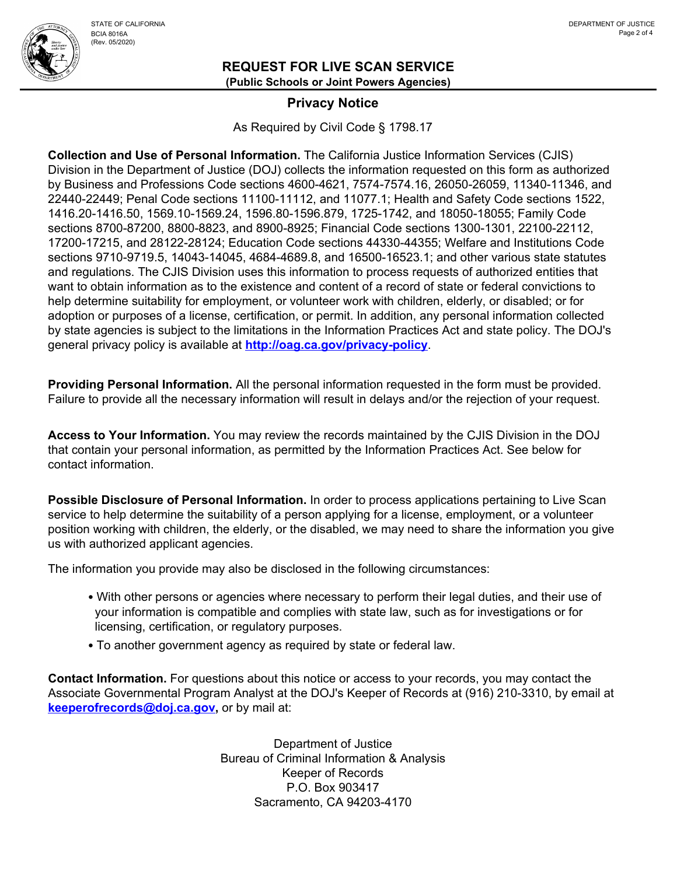

#### **REQUEST FOR LIVE SCAN SERVICE (Public Schools or Joint Powers Agencies)**

### **Privacy Notice**

As Required by Civil Code § 1798.17

**Collection and Use of Personal Information.** The California Justice Information Services (CJIS) Division in the Department of Justice (DOJ) collects the information requested on this form as authorized by Business and Professions Code sections 4600-4621, 7574-7574.16, 26050-26059, 11340-11346, and 22440-22449; Penal Code sections 11100-11112, and 11077.1; Health and Safety Code sections 1522, 1416.20-1416.50, 1569.10-1569.24, 1596.80-1596.879, 1725-1742, and 18050-18055; Family Code sections 8700-87200, 8800-8823, and 8900-8925; Financial Code sections 1300-1301, 22100-22112, 17200-17215, and 28122-28124; Education Code sections 44330-44355; Welfare and Institutions Code sections 9710-9719.5, 14043-14045, 4684-4689.8, and 16500-16523.1; and other various state statutes and regulations. The CJIS Division uses this information to process requests of authorized entities that want to obtain information as to the existence and content of a record of state or federal convictions to help determine suitability for employment, or volunteer work with children, elderly, or disabled; or for adoption or purposes of a license, certification, or permit. In addition, any personal information collected by state agencies is subject to the limitations in the Information Practices Act and state policy. The DOJ's general privacy policy is available at **http://oag.ca.gov/privacy-policy**.

**Providing Personal Information.** All the personal information requested in the form must be provided. Failure to provide all the necessary information will result in delays and/or the rejection of your request.

**Access to Your Information.** You may review the records maintained by the CJIS Division in the DOJ that contain your personal information, as permitted by the Information Practices Act. See below for contact information.

**Possible Disclosure of Personal Information.** In order to process applications pertaining to Live Scan service to help determine the suitability of a person applying for a license, employment, or a volunteer position working with children, the elderly, or the disabled, we may need to share the information you give us with authorized applicant agencies.

The information you provide may also be disclosed in the following circumstances:

- With other persons or agencies where necessary to perform their legal duties, and their use of your information is compatible and complies with state law, such as for investigations or for licensing, certification, or regulatory purposes.
- To another government agency as required by state or federal law.

**Contact Information.** For questions about this notice or access to your records, you may contact the Associate Governmental Program Analyst at the DOJ's Keeper of Records at (916) 210-3310, by email at **keeperofrecords@doj.ca.gov,** or by mail at:

> Department of Justice Bureau of Criminal Information & Analysis Keeper of Records P.O. Box 903417 Sacramento, CA 94203-4170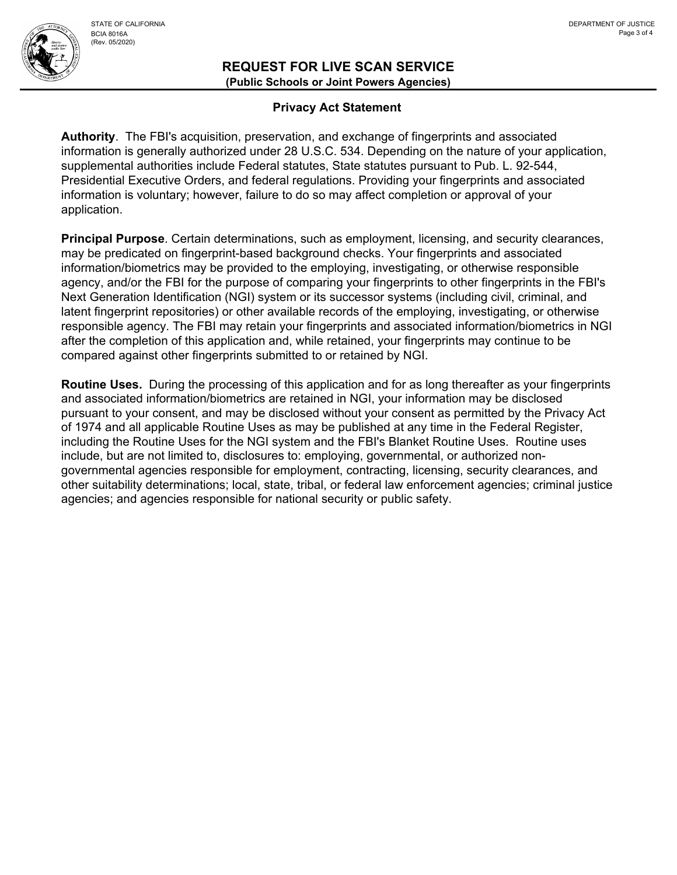

#### **Privacy Act Statement**

**Authority**. The FBI's acquisition, preservation, and exchange of fingerprints and associated information is generally authorized under 28 U.S.C. 534. Depending on the nature of your application, supplemental authorities include Federal statutes, State statutes pursuant to Pub. L. 92-544, Presidential Executive Orders, and federal regulations. Providing your fingerprints and associated information is voluntary; however, failure to do so may affect completion or approval of your application.

**Principal Purpose**. Certain determinations, such as employment, licensing, and security clearances, may be predicated on fingerprint-based background checks. Your fingerprints and associated information/biometrics may be provided to the employing, investigating, or otherwise responsible agency, and/or the FBI for the purpose of comparing your fingerprints to other fingerprints in the FBI's Next Generation Identification (NGI) system or its successor systems (including civil, criminal, and latent fingerprint repositories) or other available records of the employing, investigating, or otherwise responsible agency. The FBI may retain your fingerprints and associated information/biometrics in NGI after the completion of this application and, while retained, your fingerprints may continue to be compared against other fingerprints submitted to or retained by NGI.

**Routine Uses.** During the processing of this application and for as long thereafter as your fingerprints and associated information/biometrics are retained in NGI, your information may be disclosed pursuant to your consent, and may be disclosed without your consent as permitted by the Privacy Act of 1974 and all applicable Routine Uses as may be published at any time in the Federal Register, including the Routine Uses for the NGI system and the FBI's Blanket Routine Uses. Routine uses include, but are not limited to, disclosures to: employing, governmental, or authorized nongovernmental agencies responsible for employment, contracting, licensing, security clearances, and other suitability determinations; local, state, tribal, or federal law enforcement agencies; criminal justice agencies; and agencies responsible for national security or public safety.